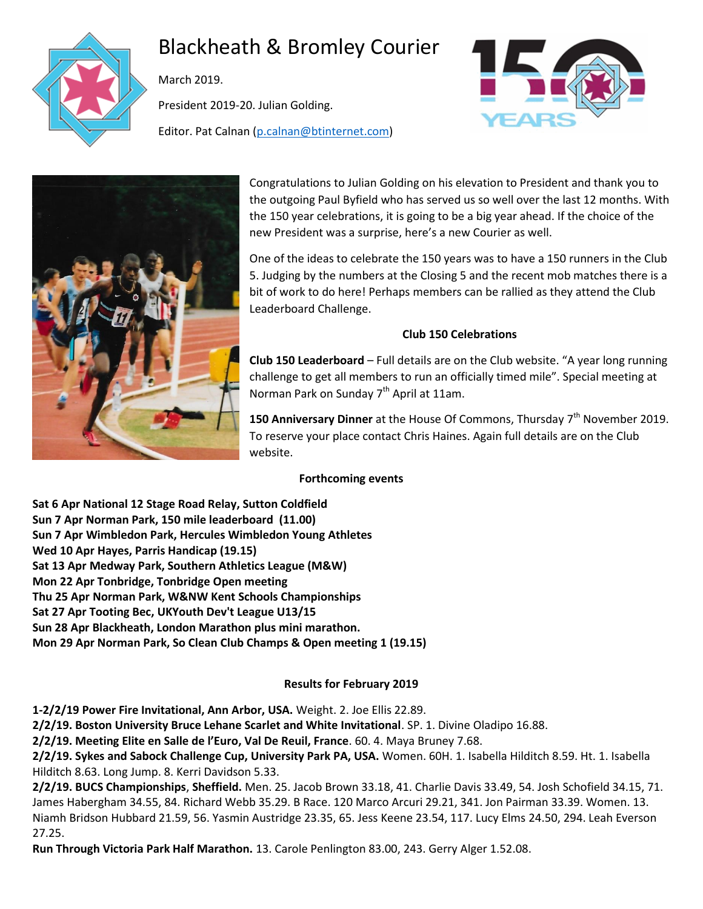

# Blackheath & Bromley Courier

March 2019.

President 2019-20. Julian Golding.

Editor. Pat Calnan [\(p.calnan@btinternet.com\)](mailto:p.calnan@btinternet.com)





Congratulations to Julian Golding on his elevation to President and thank you to the outgoing Paul Byfield who has served us so well over the last 12 months. With the 150 year celebrations, it is going to be a big year ahead. If the choice of the new President was a surprise, here's a new Courier as well.

One of the ideas to celebrate the 150 years was to have a 150 runners in the Club 5. Judging by the numbers at the Closing 5 and the recent mob matches there is a bit of work to do here! Perhaps members can be rallied as they attend the Club Leaderboard Challenge.

# **Club 150 Celebrations**

**Club 150 Leaderboard** – Full details are on the Club website. "A year long running challenge to get all members to run an officially timed mile". Special meeting at Norman Park on Sunday  $7<sup>th</sup>$  April at 11am.

**150 Anniversary Dinner** at the House Of Commons, Thursday 7<sup>th</sup> November 2019. To reserve your place contact Chris Haines. Again full details are on the Club website.

# **Forthcoming events**

**Sat 6 Apr National 12 Stage Road Relay, Sutton Coldfield Sun 7 Apr Norman Park, 150 mile leaderboard (11.00) Sun 7 Apr Wimbledon Park, Hercules Wimbledon Young Athletes Wed 10 Apr Hayes, Parris Handicap (19.15) Sat 13 Apr Medway Park, Southern Athletics League (M&W) Mon 22 Apr Tonbridge, Tonbridge Open meeting Thu 25 Apr Norman Park, W&NW Kent Schools Championships Sat 27 Apr Tooting Bec, UKYouth Dev't League U13/15 Sun 28 Apr Blackheath, London Marathon plus mini marathon. Mon 29 Apr Norman Park, So Clean Club Champs & Open meeting 1 (19.15)**

# **Results for February 2019**

**1-2/2/19 Power Fire Invitational, Ann Arbor, USA.** Weight. 2. Joe Ellis 22.89.

**2/2/19. Boston University Bruce Lehane Scarlet and White Invitational**. SP. 1. Divine Oladipo 16.88.

**2/2/19. Meeting Elite en Salle de l'Euro, Val De Reuil, France**. 60. 4. Maya Bruney 7.68.

**2/2/19. Sykes and Sabock Challenge Cup, University Park PA, USA.** Women. 60H. 1. Isabella Hilditch 8.59. Ht. 1. Isabella Hilditch 8.63. Long Jump. 8. Kerri Davidson 5.33.

**2/2/19. BUCS Championships**, **Sheffield.** Men. 25. Jacob Brown 33.18, 41. Charlie Davis 33.49, 54. Josh Schofield 34.15, 71. James Habergham 34.55, 84. Richard Webb 35.29. B Race. 120 Marco Arcuri 29.21, 341. Jon Pairman 33.39. Women. 13. Niamh Bridson Hubbard 21.59, 56. Yasmin Austridge 23.35, 65. Jess Keene 23.54, 117. Lucy Elms 24.50, 294. Leah Everson 27.25.

**Run Through Victoria Park Half Marathon.** 13. Carole Penlington 83.00, 243. Gerry Alger 1.52.08.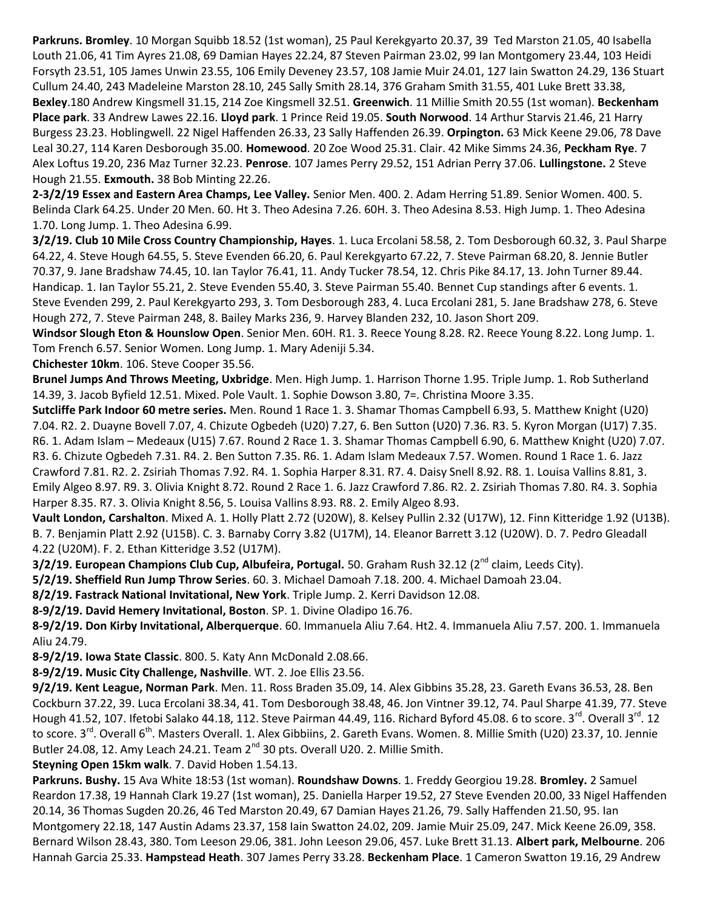**Parkruns. Bromley**. 10 Morgan Squibb 18.52 (1st woman), 25 Paul Kerekgyarto 20.37, 39 Ted Marston 21.05, 40 Isabella Louth 21.06, 41 Tim Ayres 21.08, 69 Damian Hayes 22.24, 87 Steven Pairman 23.02, 99 Ian Montgomery 23.44, 103 Heidi Forsyth 23.51, 105 James Unwin 23.55, 106 Emily Deveney 23.57, 108 Jamie Muir 24.01, 127 Iain Swatton 24.29, 136 Stuart Cullum 24.40, 243 Madeleine Marston 28.10, 245 Sally Smith 28.14, 376 Graham Smith 31.55, 401 Luke Brett 33.38, **Bexley**.180 Andrew Kingsmell 31.15, 214 Zoe Kingsmell 32.51. **Greenwich**. 11 Millie Smith 20.55 (1st woman). **Beckenham Place park**. 33 Andrew Lawes 22.16. **Lloyd park**. 1 Prince Reid 19.05. **South Norwood**. 14 Arthur Starvis 21.46, 21 Harry Burgess 23.23. Hoblingwell. 22 Nigel Haffenden 26.33, 23 Sally Haffenden 26.39. **Orpington.** 63 Mick Keene 29.06, 78 Dave Leal 30.27, 114 Karen Desborough 35.00. **Homewood**. 20 Zoe Wood 25.31. Clair. 42 Mike Simms 24.36, **Peckham Rye**. 7 Alex Loftus 19.20, 236 Maz Turner 32.23. **Penrose**. 107 James Perry 29.52, 151 Adrian Perry 37.06. **Lullingstone.** 2 Steve Hough 21.55. **Exmouth.** 38 Bob Minting 22.26.

**2-3/2/19 Essex and Eastern Area Champs, Lee Valley.** Senior Men. 400. 2. Adam Herring 51.89. Senior Women. 400. 5. Belinda Clark 64.25. Under 20 Men. 60. Ht 3. Theo Adesina 7.26. 60H. 3. Theo Adesina 8.53. High Jump. 1. Theo Adesina 1.70. Long Jump. 1. Theo Adesina 6.99.

**3/2/19. Club 10 Mile Cross Country Championship, Hayes**. 1. Luca Ercolani 58.58, 2. Tom Desborough 60.32, 3. Paul Sharpe 64.22, 4. Steve Hough 64.55, 5. Steve Evenden 66.20, 6. Paul Kerekgyarto 67.22, 7. Steve Pairman 68.20, 8. Jennie Butler 70.37, 9. Jane Bradshaw 74.45, 10. Ian Taylor 76.41, 11. Andy Tucker 78.54, 12. Chris Pike 84.17, 13. John Turner 89.44. Handicap. 1. Ian Taylor 55.21, 2. Steve Evenden 55.40, 3. Steve Pairman 55.40. Bennet Cup standings after 6 events. 1. Steve Evenden 299, 2. Paul Kerekgyarto 293, 3. Tom Desborough 283, 4. Luca Ercolani 281, 5. Jane Bradshaw 278, 6. Steve Hough 272, 7. Steve Pairman 248, 8. Bailey Marks 236, 9. Harvey Blanden 232, 10. Jason Short 209.

**Windsor Slough Eton & Hounslow Open**. Senior Men. 60H. R1. 3. Reece Young 8.28. R2. Reece Young 8.22. Long Jump. 1. Tom French 6.57. Senior Women. Long Jump. 1. Mary Adeniji 5.34.

**Chichester 10km**. 106. Steve Cooper 35.56.

**Brunel Jumps And Throws Meeting, Uxbridge**. Men. High Jump. 1. Harrison Thorne 1.95. Triple Jump. 1. Rob Sutherland 14.39, 3. Jacob Byfield 12.51. Mixed. Pole Vault. 1. Sophie Dowson 3.80, 7=. Christina Moore 3.35.

**Sutcliffe Park Indoor 60 metre series.** Men. Round 1 Race 1. 3. Shamar Thomas Campbell 6.93, 5. Matthew Knight (U20) 7.04. R2. 2. Duayne Bovell 7.07, 4. Chizute Ogbedeh (U20) 7.27, 6. Ben Sutton (U20) 7.36. R3. 5. Kyron Morgan (U17) 7.35. R6. 1. Adam Islam – Medeaux (U15) 7.67. Round 2 Race 1. 3. Shamar Thomas Campbell 6.90, 6. Matthew Knight (U20) 7.07. R3. 6. Chizute Ogbedeh 7.31. R4. 2. Ben Sutton 7.35. R6. 1. Adam Islam Medeaux 7.57. Women. Round 1 Race 1. 6. Jazz Crawford 7.81. R2. 2. Zsiriah Thomas 7.92. R4. 1. Sophia Harper 8.31. R7. 4. Daisy Snell 8.92. R8. 1. Louisa Vallins 8.81, 3. Emily Algeo 8.97. R9. 3. Olivia Knight 8.72. Round 2 Race 1. 6. Jazz Crawford 7.86. R2. 2. Zsiriah Thomas 7.80. R4. 3. Sophia Harper 8.35. R7. 3. Olivia Knight 8.56, 5. Louisa Vallins 8.93. R8. 2. Emily Algeo 8.93.

**Vault London, Carshalton**. Mixed A. 1. Holly Platt 2.72 (U20W), 8. Kelsey Pullin 2.32 (U17W), 12. Finn Kitteridge 1.92 (U13B). B. 7. Benjamin Platt 2.92 (U15B). C. 3. Barnaby Corry 3.82 (U17M), 14. Eleanor Barrett 3.12 (U20W). D. 7. Pedro Gleadall 4.22 (U20M). F. 2. Ethan Kitteridge 3.52 (U17M).

**3/2/19. European Champions Club Cup, Albufeira, Portugal.** 50. Graham Rush 32.12 (2nd claim, Leeds City).

**5/2/19. Sheffield Run Jump Throw Series**. 60. 3. Michael Damoah 7.18. 200. 4. Michael Damoah 23.04.

**8/2/19. Fastrack National Invitational, New York**. Triple Jump. 2. Kerri Davidson 12.08.

**8-9/2/19. David Hemery Invitational, Boston**. SP. 1. Divine Oladipo 16.76.

**8-9/2/19. Don Kirby Invitational, Alberquerque**. 60. Immanuela Aliu 7.64. Ht2. 4. Immanuela Aliu 7.57. 200. 1. Immanuela Aliu 24.79.

**8-9/2/19. Iowa State Classic**. 800. 5. Katy Ann McDonald 2.08.66.

**8-9/2/19. Music City Challenge, Nashville**. WT. 2. Joe Ellis 23.56.

**9/2/19. Kent League, Norman Park**. Men. 11. Ross Braden 35.09, 14. Alex Gibbins 35.28, 23. Gareth Evans 36.53, 28. Ben Cockburn 37.22, 39. Luca Ercolani 38.34, 41. Tom Desborough 38.48, 46. Jon Vintner 39.12, 74. Paul Sharpe 41.39, 77. Steve Hough 41.52, 107. Ifetobi Salako 44.18, 112. Steve Pairman 44.49, 116. Richard Byford 45.08. 6 to score. 3<sup>rd</sup>. Overall 3<sup>rd</sup>. 12 to score. 3<sup>rd</sup>. Overall 6<sup>th</sup>. Masters Overall. 1. Alex Gibbiins, 2. Gareth Evans. Women. 8. Millie Smith (U20) 23.37, 10. Jennie Butler 24.08, 12. Amy Leach 24.21. Team  $2^{nd}$  30 pts. Overall U20. 2. Millie Smith.

**Steyning Open 15km walk**. 7. David Hoben 1.54.13.

**Parkruns. Bushy.** 15 Ava White 18:53 (1st woman). **Roundshaw Downs**. 1. Freddy Georgiou 19.28. **Bromley.** 2 Samuel Reardon 17.38, 19 Hannah Clark 19.27 (1st woman), 25. Daniella Harper 19.52, 27 Steve Evenden 20.00, 33 Nigel Haffenden 20.14, 36 Thomas Sugden 20.26, 46 Ted Marston 20.49, 67 Damian Hayes 21.26, 79. Sally Haffenden 21.50, 95. Ian Montgomery 22.18, 147 Austin Adams 23.37, 158 Iain Swatton 24.02, 209. Jamie Muir 25.09, 247. Mick Keene 26.09, 358. Bernard Wilson 28.43, 380. Tom Leeson 29.06, 381. John Leeson 29.06, 457. Luke Brett 31.13. **Albert park, Melbourne**. 206 Hannah Garcia 25.33. **Hampstead Heath**. 307 James Perry 33.28. **Beckenham Place**. 1 Cameron Swatton 19.16, 29 Andrew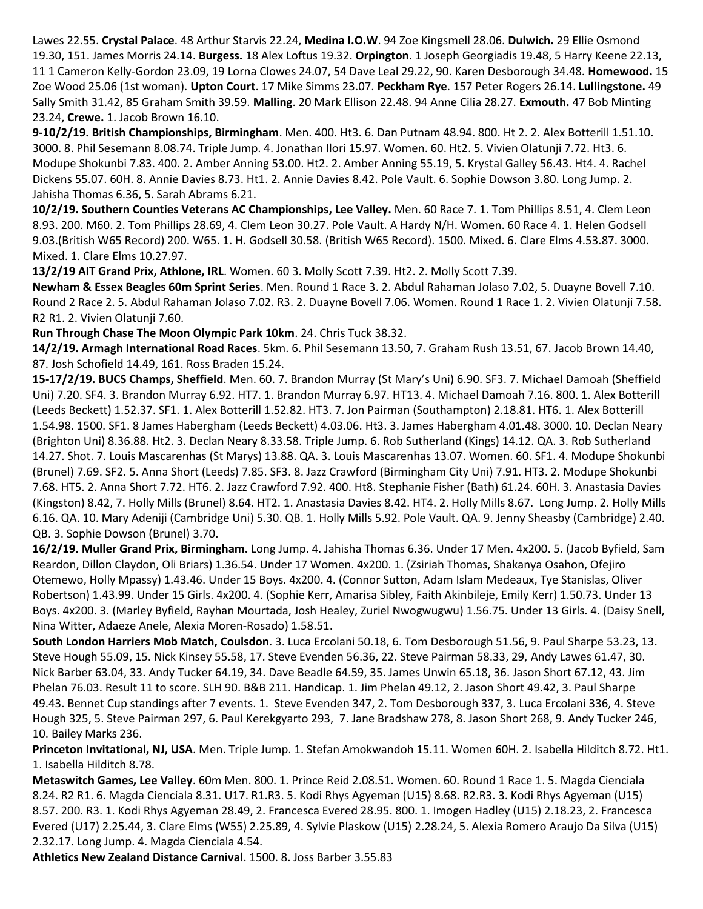Lawes 22.55. **Crystal Palace**. 48 Arthur Starvis 22.24, **Medina I.O.W**. 94 Zoe Kingsmell 28.06. **Dulwich.** 29 Ellie Osmond 19.30, 151. James Morris 24.14. **Burgess.** 18 Alex Loftus 19.32. **Orpington**. 1 Joseph Georgiadis 19.48, 5 Harry Keene 22.13, 11 1 Cameron Kelly-Gordon 23.09, 19 Lorna Clowes 24.07, 54 Dave Leal 29.22, 90. Karen Desborough 34.48. **Homewood.** 15 Zoe Wood 25.06 (1st woman). **Upton Court**. 17 Mike Simms 23.07. **Peckham Rye**. 157 Peter Rogers 26.14. **Lullingstone.** 49 Sally Smith 31.42, 85 Graham Smith 39.59. **Malling**. 20 Mark Ellison 22.48. 94 Anne Cilia 28.27. **Exmouth.** 47 Bob Minting 23.24, **Crewe.** 1. Jacob Brown 16.10.

**9-10/2/19. British Championships, Birmingham**. Men. 400. Ht3. 6. Dan Putnam 48.94. 800. Ht 2. 2. Alex Botterill 1.51.10. 3000. 8. Phil Sesemann 8.08.74. Triple Jump. 4. Jonathan Ilori 15.97. Women. 60. Ht2. 5. Vivien Olatunji 7.72. Ht3. 6. Modupe Shokunbi 7.83. 400. 2. Amber Anning 53.00. Ht2. 2. Amber Anning 55.19, 5. Krystal Galley 56.43. Ht4. 4. Rachel Dickens 55.07. 60H. 8. Annie Davies 8.73. Ht1. 2. Annie Davies 8.42. Pole Vault. 6. Sophie Dowson 3.80. Long Jump. 2. Jahisha Thomas 6.36, 5. Sarah Abrams 6.21.

**10/2/19. Southern Counties Veterans AC Championships, Lee Valley.** Men. 60 Race 7. 1. Tom Phillips 8.51, 4. Clem Leon 8.93. 200. M60. 2. Tom Phillips 28.69, 4. Clem Leon 30.27. Pole Vault. A Hardy N/H. Women. 60 Race 4. 1. Helen Godsell 9.03.(British W65 Record) 200. W65. 1. H. Godsell 30.58. (British W65 Record). 1500. Mixed. 6. Clare Elms 4.53.87. 3000. Mixed. 1. Clare Elms 10.27.97.

**13/2/19 AIT Grand Prix, Athlone, IRL**. Women. 60 3. Molly Scott 7.39. Ht2. 2. Molly Scott 7.39.

**Newham & Essex Beagles 60m Sprint Series**. Men. Round 1 Race 3. 2. Abdul Rahaman Jolaso 7.02, 5. Duayne Bovell 7.10. Round 2 Race 2. 5. Abdul Rahaman Jolaso 7.02. R3. 2. Duayne Bovell 7.06. Women. Round 1 Race 1. 2. Vivien Olatunji 7.58. R2 R1. 2. Vivien Olatunji 7.60.

**Run Through Chase The Moon Olympic Park 10km**. 24. Chris Tuck 38.32.

**14/2/19. Armagh International Road Races**. 5km. 6. Phil Sesemann 13.50, 7. Graham Rush 13.51, 67. Jacob Brown 14.40, 87. Josh Schofield 14.49, 161. Ross Braden 15.24.

**15-17/2/19. BUCS Champs, Sheffield**. Men. 60. 7. Brandon Murray (St Mary's Uni) 6.90. SF3. 7. Michael Damoah (Sheffield Uni) 7.20. SF4. 3. Brandon Murray 6.92. HT7. 1. Brandon Murray 6.97. HT13. 4. Michael Damoah 7.16. 800. 1. Alex Botterill (Leeds Beckett) 1.52.37. SF1. 1. Alex Botterill 1.52.82. HT3. 7. Jon Pairman (Southampton) 2.18.81. HT6. 1. Alex Botterill 1.54.98. 1500. SF1. 8 James Habergham (Leeds Beckett) 4.03.06. Ht3. 3. James Habergham 4.01.48. 3000. 10. Declan Neary (Brighton Uni) 8.36.88. Ht2. 3. Declan Neary 8.33.58. Triple Jump. 6. Rob Sutherland (Kings) 14.12. QA. 3. Rob Sutherland 14.27. Shot. 7. Louis Mascarenhas (St Marys) 13.88. QA. 3. Louis Mascarenhas 13.07. Women. 60. SF1. 4. Modupe Shokunbi (Brunel) 7.69. SF2. 5. Anna Short (Leeds) 7.85. SF3. 8. Jazz Crawford (Birmingham City Uni) 7.91. HT3. 2. Modupe Shokunbi 7.68. HT5. 2. Anna Short 7.72. HT6. 2. Jazz Crawford 7.92. 400. Ht8. Stephanie Fisher (Bath) 61.24. 60H. 3. Anastasia Davies (Kingston) 8.42, 7. Holly Mills (Brunel) 8.64. HT2. 1. Anastasia Davies 8.42. HT4. 2. Holly Mills 8.67. Long Jump. 2. Holly Mills 6.16. QA. 10. Mary Adeniji (Cambridge Uni) 5.30. QB. 1. Holly Mills 5.92. Pole Vault. QA. 9. Jenny Sheasby (Cambridge) 2.40. QB. 3. Sophie Dowson (Brunel) 3.70.

**16/2/19. Muller Grand Prix, Birmingham.** Long Jump. 4. Jahisha Thomas 6.36. Under 17 Men. 4x200. 5. (Jacob Byfield, Sam Reardon, Dillon Claydon, Oli Briars) 1.36.54. Under 17 Women. 4x200. 1. (Zsiriah Thomas, Shakanya Osahon, Ofejiro Otemewo, Holly Mpassy) 1.43.46. Under 15 Boys. 4x200. 4. (Connor Sutton, Adam Islam Medeaux, Tye Stanislas, Oliver Robertson) 1.43.99. Under 15 Girls. 4x200. 4. (Sophie Kerr, Amarisa Sibley, Faith Akinbileje, Emily Kerr) 1.50.73. Under 13 Boys. 4x200. 3. (Marley Byfield, Rayhan Mourtada, Josh Healey, Zuriel Nwogwugwu) 1.56.75. Under 13 Girls. 4. (Daisy Snell, Nina Witter, Adaeze Anele, Alexia Moren-Rosado) 1.58.51.

**South London Harriers Mob Match, Coulsdon**. 3. Luca Ercolani 50.18, 6. Tom Desborough 51.56, 9. Paul Sharpe 53.23, 13. Steve Hough 55.09, 15. Nick Kinsey 55.58, 17. Steve Evenden 56.36, 22. Steve Pairman 58.33, 29, Andy Lawes 61.47, 30. Nick Barber 63.04, 33. Andy Tucker 64.19, 34. Dave Beadle 64.59, 35. James Unwin 65.18, 36. Jason Short 67.12, 43. Jim Phelan 76.03. Result 11 to score. SLH 90. B&B 211. Handicap. 1. Jim Phelan 49.12, 2. Jason Short 49.42, 3. Paul Sharpe 49.43. Bennet Cup standings after 7 events. 1. Steve Evenden 347, 2. Tom Desborough 337, 3. Luca Ercolani 336, 4. Steve Hough 325, 5. Steve Pairman 297, 6. Paul Kerekgyarto 293, 7. Jane Bradshaw 278, 8. Jason Short 268, 9. Andy Tucker 246, 10. Bailey Marks 236.

**Princeton Invitational, NJ, USA**. Men. Triple Jump. 1. Stefan Amokwandoh 15.11. Women 60H. 2. Isabella Hilditch 8.72. Ht1. 1. Isabella Hilditch 8.78.

**Metaswitch Games, Lee Valley**. 60m Men. 800. 1. Prince Reid 2.08.51. Women. 60. Round 1 Race 1. 5. Magda Cienciala 8.24. R2 R1. 6. Magda Cienciala 8.31. U17. R1.R3. 5. Kodi Rhys Agyeman (U15) 8.68. R2.R3. 3. Kodi Rhys Agyeman (U15) 8.57. 200. R3. 1. Kodi Rhys Agyeman 28.49, 2. Francesca Evered 28.95. 800. 1. Imogen Hadley (U15) 2.18.23, 2. Francesca Evered (U17) 2.25.44, 3. Clare Elms (W55) 2.25.89, 4. Sylvie Plaskow (U15) 2.28.24, 5. Alexia Romero Araujo Da Silva (U15) 2.32.17. Long Jump. 4. Magda Cienciala 4.54.

**Athletics New Zealand Distance Carnival**. 1500. 8. Joss Barber 3.55.83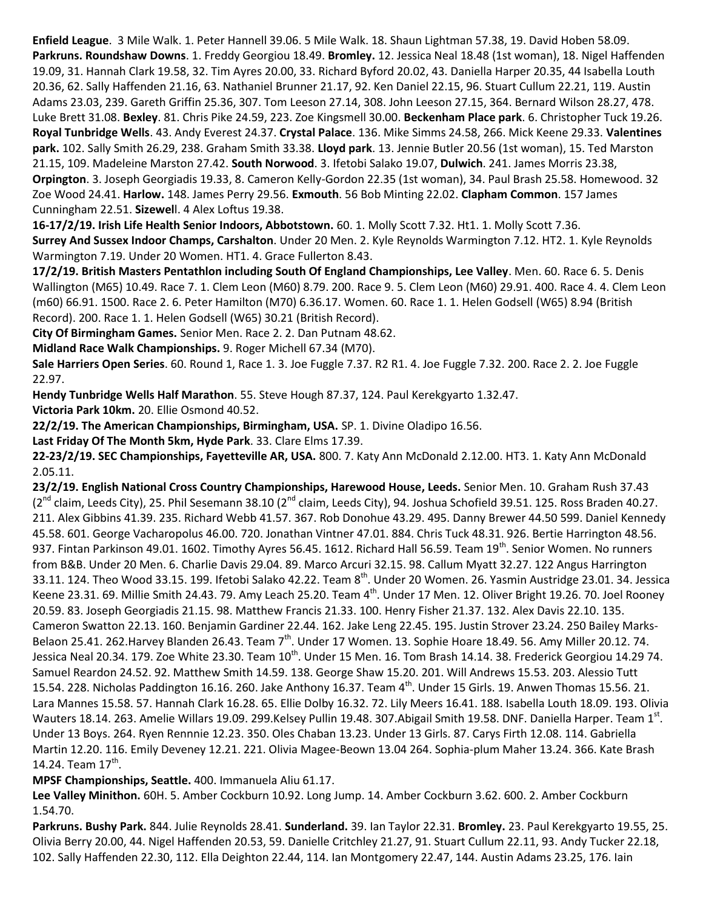**Enfield League**. 3 Mile Walk. 1. Peter Hannell 39.06. 5 Mile Walk. 18. Shaun Lightman 57.38, 19. David Hoben 58.09. **Parkruns. Roundshaw Downs**. 1. Freddy Georgiou 18.49. **Bromley.** 12. Jessica Neal 18.48 (1st woman), 18. Nigel Haffenden 19.09, 31. Hannah Clark 19.58, 32. Tim Ayres 20.00, 33. Richard Byford 20.02, 43. Daniella Harper 20.35, 44 Isabella Louth 20.36, 62. Sally Haffenden 21.16, 63. Nathaniel Brunner 21.17, 92. Ken Daniel 22.15, 96. Stuart Cullum 22.21, 119. Austin Adams 23.03, 239. Gareth Griffin 25.36, 307. Tom Leeson 27.14, 308. John Leeson 27.15, 364. Bernard Wilson 28.27, 478. Luke Brett 31.08. **Bexley**. 81. Chris Pike 24.59, 223. Zoe Kingsmell 30.00. **Beckenham Place park**. 6. Christopher Tuck 19.26. **Royal Tunbridge Wells**. 43. Andy Everest 24.37. **Crystal Palace**. 136. Mike Simms 24.58, 266. Mick Keene 29.33. **Valentines park.** 102. Sally Smith 26.29, 238. Graham Smith 33.38. **Lloyd park**. 13. Jennie Butler 20.56 (1st woman), 15. Ted Marston 21.15, 109. Madeleine Marston 27.42. **South Norwood**. 3. Ifetobi Salako 19.07, **Dulwich**. 241. James Morris 23.38, **Orpington**. 3. Joseph Georgiadis 19.33, 8. Cameron Kelly-Gordon 22.35 (1st woman), 34. Paul Brash 25.58. Homewood. 32 Zoe Wood 24.41. **Harlow.** 148. James Perry 29.56. **Exmouth**. 56 Bob Minting 22.02. **Clapham Common**. 157 James Cunningham 22.51. **Sizewel**l. 4 Alex Loftus 19.38.

**16-17/2/19. Irish Life Health Senior Indoors, Abbotstown.** 60. 1. Molly Scott 7.32. Ht1. 1. Molly Scott 7.36. **Surrey And Sussex Indoor Champs, Carshalton**. Under 20 Men. 2. Kyle Reynolds Warmington 7.12. HT2. 1. Kyle Reynolds Warmington 7.19. Under 20 Women. HT1. 4. Grace Fullerton 8.43.

**17/2/19. British Masters Pentathlon including South Of England Championships, Lee Valley**. Men. 60. Race 6. 5. Denis Wallington (M65) 10.49. Race 7. 1. Clem Leon (M60) 8.79. 200. Race 9. 5. Clem Leon (M60) 29.91. 400. Race 4. 4. Clem Leon (m60) 66.91. 1500. Race 2. 6. Peter Hamilton (M70) 6.36.17. Women. 60. Race 1. 1. Helen Godsell (W65) 8.94 (British Record). 200. Race 1. 1. Helen Godsell (W65) 30.21 (British Record).

**City Of Birmingham Games.** Senior Men. Race 2. 2. Dan Putnam 48.62.

**Midland Race Walk Championships.** 9. Roger Michell 67.34 (M70).

**Sale Harriers Open Series**. 60. Round 1, Race 1. 3. Joe Fuggle 7.37. R2 R1. 4. Joe Fuggle 7.32. 200. Race 2. 2. Joe Fuggle 22.97.

**Hendy Tunbridge Wells Half Marathon**. 55. Steve Hough 87.37, 124. Paul Kerekgyarto 1.32.47.

**Victoria Park 10km.** 20. Ellie Osmond 40.52.

**22/2/19. The American Championships, Birmingham, USA.** SP. 1. Divine Oladipo 16.56.

**Last Friday Of The Month 5km, Hyde Park**. 33. Clare Elms 17.39.

**22-23/2/19. SEC Championships, Fayetteville AR, USA.** 800. 7. Katy Ann McDonald 2.12.00. HT3. 1. Katy Ann McDonald 2.05.11.

**23/2/19. English National Cross Country Championships, Harewood House, Leeds.** Senior Men. 10. Graham Rush 37.43  $(2^{nd}$  claim, Leeds City), 25. Phil Sesemann 38.10 ( $2^{nd}$  claim, Leeds City), 94. Joshua Schofield 39.51. 125. Ross Braden 40.27. 211. Alex Gibbins 41.39. 235. Richard Webb 41.57. 367. Rob Donohue 43.29. 495. Danny Brewer 44.50 599. Daniel Kennedy 45.58. 601. George Vacharopolus 46.00. 720. Jonathan Vintner 47.01. 884. Chris Tuck 48.31. 926. Bertie Harrington 48.56. 937. Fintan Parkinson 49.01. 1602. Timothy Ayres 56.45. 1612. Richard Hall 56.59. Team 19<sup>th</sup>. Senior Women. No runners from B&B. Under 20 Men. 6. Charlie Davis 29.04. 89. Marco Arcuri 32.15. 98. Callum Myatt 32.27. 122 Angus Harrington 33.11. 124. Theo Wood 33.15. 199. Ifetobi Salako 42.22. Team 8<sup>th</sup>. Under 20 Women. 26. Yasmin Austridge 23.01. 34. Jessica Keene 23.31. 69. Millie Smith 24.43. 79. Amy Leach 25.20. Team 4<sup>th</sup>. Under 17 Men. 12. Oliver Bright 19.26. 70. Joel Rooney 20.59. 83. Joseph Georgiadis 21.15. 98. Matthew Francis 21.33. 100. Henry Fisher 21.37. 132. Alex Davis 22.10. 135. Cameron Swatton 22.13. 160. Benjamin Gardiner 22.44. 162. Jake Leng 22.45. 195. Justin Strover 23.24. 250 Bailey Marks-Belaon 25.41. 262.Harvey Blanden 26.43. Team 7<sup>th</sup>. Under 17 Women. 13. Sophie Hoare 18.49. 56. Amy Miller 20.12. 74. Jessica Neal 20.34. 179. Zoe White 23.30. Team  $10^{\text{th}}$ . Under 15 Men. 16. Tom Brash 14.14. 38. Frederick Georgiou 14.29 74. Samuel Reardon 24.52. 92. Matthew Smith 14.59. 138. George Shaw 15.20. 201. Will Andrews 15.53. 203. Alessio Tutt 15.54. 228. Nicholas Paddington 16.16. 260. Jake Anthony 16.37. Team 4<sup>th</sup>. Under 15 Girls. 19. Anwen Thomas 15.56. 21. Lara Mannes 15.58. 57. Hannah Clark 16.28. 65. Ellie Dolby 16.32. 72. Lily Meers 16.41. 188. Isabella Louth 18.09. 193. Olivia Wauters 18.14. 263. Amelie Willars 19.09. 299.Kelsey Pullin 19.48. 307.Abigail Smith 19.58. DNF. Daniella Harper. Team 1st. Under 13 Boys. 264. Ryen Rennnie 12.23. 350. Oles Chaban 13.23. Under 13 Girls. 87. Carys Firth 12.08. 114. Gabriella Martin 12.20. 116. Emily Deveney 12.21. 221. Olivia Magee-Beown 13.04 264. Sophia-plum Maher 13.24. 366. Kate Brash 14.24. Team  $17^{\text{th}}$ .

**MPSF Championships, Seattle.** 400. Immanuela Aliu 61.17.

**Lee Valley Minithon.** 60H. 5. Amber Cockburn 10.92. Long Jump. 14. Amber Cockburn 3.62. 600. 2. Amber Cockburn 1.54.70.

**Parkruns. Bushy Park.** 844. Julie Reynolds 28.41. **Sunderland.** 39. Ian Taylor 22.31. **Bromley.** 23. Paul Kerekgyarto 19.55, 25. Olivia Berry 20.00, 44. Nigel Haffenden 20.53, 59. Danielle Critchley 21.27, 91. Stuart Cullum 22.11, 93. Andy Tucker 22.18, 102. Sally Haffenden 22.30, 112. Ella Deighton 22.44, 114. Ian Montgomery 22.47, 144. Austin Adams 23.25, 176. Iain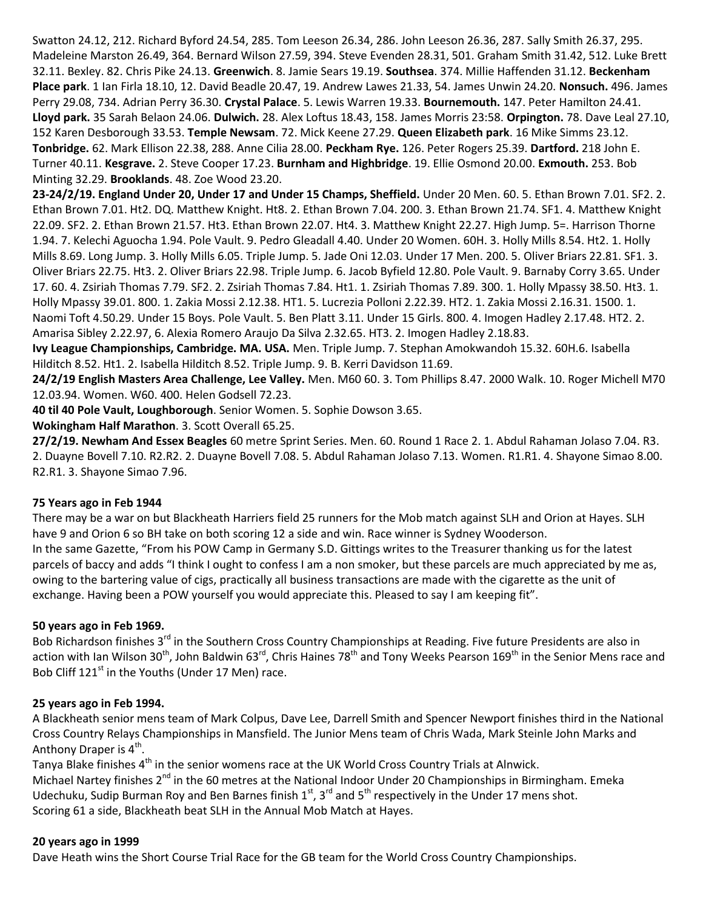Swatton 24.12, 212. Richard Byford 24.54, 285. Tom Leeson 26.34, 286. John Leeson 26.36, 287. Sally Smith 26.37, 295. Madeleine Marston 26.49, 364. Bernard Wilson 27.59, 394. Steve Evenden 28.31, 501. Graham Smith 31.42, 512. Luke Brett 32.11. Bexley. 82. Chris Pike 24.13. **Greenwich**. 8. Jamie Sears 19.19. **Southsea**. 374. Millie Haffenden 31.12. **Beckenham Place park**. 1 Ian Firla 18.10, 12. David Beadle 20.47, 19. Andrew Lawes 21.33, 54. James Unwin 24.20. **Nonsuch.** 496. James Perry 29.08, 734. Adrian Perry 36.30. **Crystal Palace**. 5. Lewis Warren 19.33. **Bournemouth.** 147. Peter Hamilton 24.41. **Lloyd park.** 35 Sarah Belaon 24.06. **Dulwich.** 28. Alex Loftus 18.43, 158. James Morris 23:58. **Orpington.** 78. Dave Leal 27.10, 152 Karen Desborough 33.53. **Temple Newsam**. 72. Mick Keene 27.29. **Queen Elizabeth park**. 16 Mike Simms 23.12. **Tonbridge.** 62. Mark Ellison 22.38, 288. Anne Cilia 28.00. **Peckham Rye.** 126. Peter Rogers 25.39. **Dartford.** 218 John E. Turner 40.11. **Kesgrave.** 2. Steve Cooper 17.23. **Burnham and Highbridge**. 19. Ellie Osmond 20.00. **Exmouth.** 253. Bob Minting 32.29. **Brooklands**. 48. Zoe Wood 23.20.

**23-24/2/19. England Under 20, Under 17 and Under 15 Champs, Sheffield.** Under 20 Men. 60. 5. Ethan Brown 7.01. SF2. 2. Ethan Brown 7.01. Ht2. DQ. Matthew Knight. Ht8. 2. Ethan Brown 7.04. 200. 3. Ethan Brown 21.74. SF1. 4. Matthew Knight 22.09. SF2. 2. Ethan Brown 21.57. Ht3. Ethan Brown 22.07. Ht4. 3. Matthew Knight 22.27. High Jump. 5=. Harrison Thorne 1.94. 7. Kelechi Aguocha 1.94. Pole Vault. 9. Pedro Gleadall 4.40. Under 20 Women. 60H. 3. Holly Mills 8.54. Ht2. 1. Holly Mills 8.69. Long Jump. 3. Holly Mills 6.05. Triple Jump. 5. Jade Oni 12.03. Under 17 Men. 200. 5. Oliver Briars 22.81. SF1. 3. Oliver Briars 22.75. Ht3. 2. Oliver Briars 22.98. Triple Jump. 6. Jacob Byfield 12.80. Pole Vault. 9. Barnaby Corry 3.65. Under 17. 60. 4. Zsiriah Thomas 7.79. SF2. 2. Zsiriah Thomas 7.84. Ht1. 1. Zsiriah Thomas 7.89. 300. 1. Holly Mpassy 38.50. Ht3. 1. Holly Mpassy 39.01. 800. 1. Zakia Mossi 2.12.38. HT1. 5. Lucrezia Polloni 2.22.39. HT2. 1. Zakia Mossi 2.16.31. 1500. 1. Naomi Toft 4.50.29. Under 15 Boys. Pole Vault. 5. Ben Platt 3.11. Under 15 Girls. 800. 4. Imogen Hadley 2.17.48. HT2. 2. Amarisa Sibley 2.22.97, 6. Alexia Romero Araujo Da Silva 2.32.65. HT3. 2. Imogen Hadley 2.18.83.

**Ivy League Championships, Cambridge. MA. USA.** Men. Triple Jump. 7. Stephan Amokwandoh 15.32. 60H.6. Isabella Hilditch 8.52. Ht1. 2. Isabella Hilditch 8.52. Triple Jump. 9. B. Kerri Davidson 11.69.

**24/2/19 English Masters Area Challenge, Lee Valley.** Men. M60 60. 3. Tom Phillips 8.47. 2000 Walk. 10. Roger Michell M70 12.03.94. Women. W60. 400. Helen Godsell 72.23.

**40 til 40 Pole Vault, Loughborough**. Senior Women. 5. Sophie Dowson 3.65.

**Wokingham Half Marathon**. 3. Scott Overall 65.25.

**27/2/19. Newham And Essex Beagles** 60 metre Sprint Series. Men. 60. Round 1 Race 2. 1. Abdul Rahaman Jolaso 7.04. R3. 2. Duayne Bovell 7.10. R2.R2. 2. Duayne Bovell 7.08. 5. Abdul Rahaman Jolaso 7.13. Women. R1.R1. 4. Shayone Simao 8.00. R2.R1. 3. Shayone Simao 7.96.

#### **75 Years ago in Feb 1944**

There may be a war on but Blackheath Harriers field 25 runners for the Mob match against SLH and Orion at Hayes. SLH have 9 and Orion 6 so BH take on both scoring 12 a side and win. Race winner is Sydney Wooderson. In the same Gazette, "From his POW Camp in Germany S.D. Gittings writes to the Treasurer thanking us for the latest parcels of baccy and adds "I think I ought to confess I am a non smoker, but these parcels are much appreciated by me as, owing to the bartering value of cigs, practically all business transactions are made with the cigarette as the unit of exchange. Having been a POW yourself you would appreciate this. Pleased to say I am keeping fit".

## **50 years ago in Feb 1969.**

Bob Richardson finishes 3<sup>rd</sup> in the Southern Cross Country Championships at Reading. Five future Presidents are also in action with Ian Wilson 30<sup>th</sup>, John Baldwin 63<sup>rd</sup>, Chris Haines 78<sup>th</sup> and Tony Weeks Pearson 169<sup>th</sup> in the Senior Mens race and Bob Cliff 121<sup>st</sup> in the Youths (Under 17 Men) race.

#### **25 years ago in Feb 1994.**

A Blackheath senior mens team of Mark Colpus, Dave Lee, Darrell Smith and Spencer Newport finishes third in the National Cross Country Relays Championships in Mansfield. The Junior Mens team of Chris Wada, Mark Steinle John Marks and Anthony Draper is 4<sup>th</sup>.

Tanya Blake finishes  $4^{\text{th}}$  in the senior womens race at the UK World Cross Country Trials at Alnwick. Michael Nartey finishes 2<sup>nd</sup> in the 60 metres at the National Indoor Under 20 Championships in Birmingham. Emeka Udechuku, Sudip Burman Roy and Ben Barnes finish  $1^{st}$ ,  $3^{rd}$  and  $5^{th}$  respectively in the Under 17 mens shot. Scoring 61 a side, Blackheath beat SLH in the Annual Mob Match at Hayes.

#### **20 years ago in 1999**

Dave Heath wins the Short Course Trial Race for the GB team for the World Cross Country Championships.